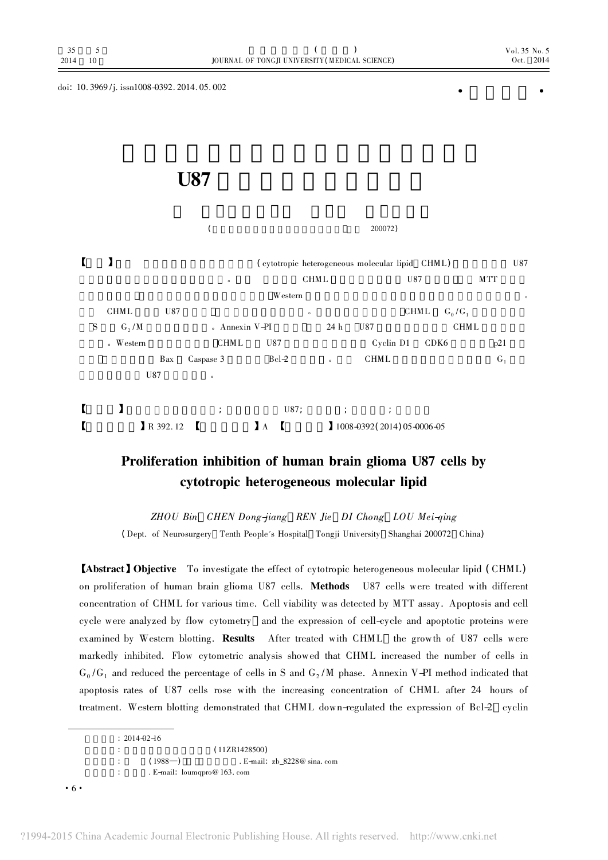doi:  $10.3969$ /j. issn1008-0392. 2014. 05. 002

## U87 and the US7 and the US7 and the US7 and the US7 and the US7 and the US7 and the US7 and the US7 and the US7

|  |   |                    |          |                      | 200072)        |             |                                                 |                   |            |         |
|--|---|--------------------|----------|----------------------|----------------|-------------|-------------------------------------------------|-------------------|------------|---------|
|  |   |                    |          |                      |                |             | (cytotropic heterogeneous molecular lipid CHML) |                   |            | U87     |
|  |   |                    |          | $\circ$              |                | <b>CHML</b> |                                                 | U87               | <b>MTT</b> |         |
|  |   |                    |          |                      | Western        |             |                                                 |                   |            | $\circ$ |
|  |   | <b>CHML</b>        | U87      |                      |                | $\circ$     |                                                 | CHML<br>$G_0/G_1$ |            |         |
|  | S | $G_2/M$            |          | $\circ$ Annexin V-PI |                | 24 h        | U87                                             |                   | CHML       |         |
|  |   | Western<br>$\circ$ |          | <b>CHML</b>          | U87            |             | Cyclin D1                                       | CDK <sub>6</sub>  | p21        |         |
|  |   |                    | Bax      | Caspase 3            | $Bcl-2$        | $\circ$     | CHML                                            |                   | $G_1$      |         |
|  |   |                    | U87      | $\circ$              |                |             |                                                 |                   |            |         |
|  |   |                    |          | $\ddot{ }$           | U87;           | $\ddot{i}$  | $\bullet$<br>$\lambda$                          |                   |            |         |
|  |   |                    | R 392.12 |                      | $\mathbf{I}$ A |             | 1008-0392 (2014) 05-0006-05                     |                   |            |         |

## Proliferation inhibition of human brain glioma U87 cells by cytotropic heterogeneous molecular lipid

ZHOU Bin CHEN Dong-jiang REN Jie DI Chong LOU Mei-qing (Dept. of Neurosurgery Tenth People's Hospital Tongji University Shanghai 200072 China)

【Abstract】Objective To investigate the effect of cytotropic heterogeneous molecular lipid (CHML) on proliferation of human brain glioma U87 cells. Methods U87 cells were treated with different concentration of CHML for various time. Cell viability was detected by MTT assay. Apoptosis and cell cycle were analyzed by flow cytometry and the expression of cell-cycle and apoptotic proteins were examined by Western blotting. Results After treated with CHML the growth of U87 cells were markedly inhibited. Flow cytometric analysis showed that CHML increased the number of cells in  $G_0/G_1$  and reduced the percentage of cells in S and  $G_2/M$  phase. Annexin V-PI method indicated that apoptosis rates of U87 cells rose with the increasing concentration of CHML after 24 hours of treatment. Western blotting demonstrated that CHML down-regulated the expression of Bcl-2 cyclin

 $: 2014 - 02 - 16$ (11ZR1428500)  $(1988)$   $\qquad \qquad$  E-mail:  $\text{zb}\_8228@$  sina. com : E-mail: loumqpro@ 163. com

·6·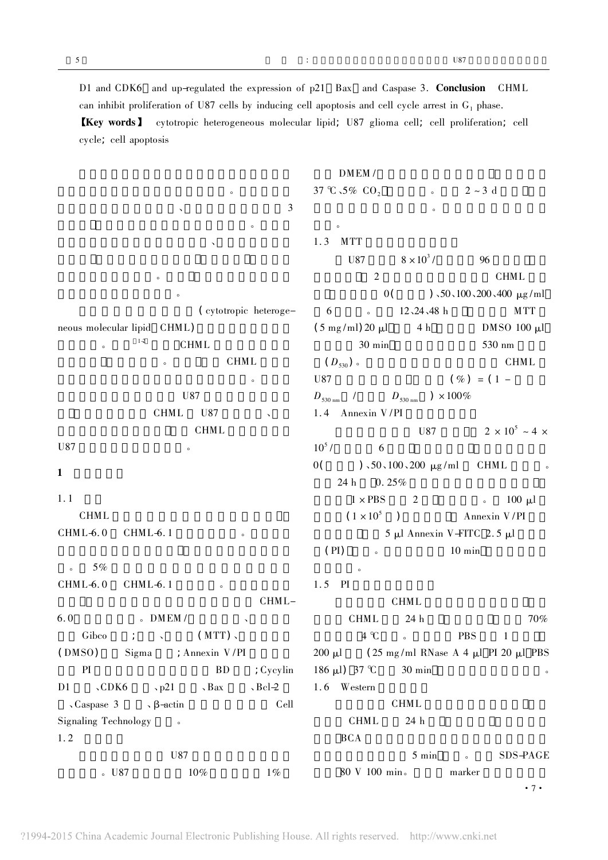D1 and CDK6 and up-regulated the expression of p21 Bax and Caspase 3. Conclusion CHML can inhibit proliferation of U87 cells by inducing cell apoptosis and cell cycle arrest in  $G_1$  phase. 【Key words】 cytotropic heterogeneous molecular lipid; U87 glioma cell; cell proliferation; cell cycle; cell apoptosis

DMEM /

 $\sim$  3  $\circ$  $\mathbb{R}^n$  $\bullet$ 质瘤的药物具有重要意义。 (cytotropic heterogeneous molecular lipid CHML)  $1-2$  CHML **CHML**  $\circ$  $U87$ CHML U87 **CHML** U87  $1$  $1.1$ **CHML**  $CHML-6.0$   $CHML-6.1$  $\delta$  5%  $\delta$  $CHML-6.0$   $CHML-6.1$ CHML- $6.0$   $\bullet$  DMEM /  $Gibco$  ;  $\qquad \qquad$   $(MTT)$ . (DMSO) Sigma ; Annexin V/PI PI BD ; Cycylin  $D1$   $\sqrt{CDK6}$   $\sqrt{p21}$   $\sqrt{Bax}$   $\sqrt{BcL2}$  $\zeta$  Caspase 3  $\zeta$  β-actin Cell Signaling Technology .  $1.2$  $U87$  $\,$  U87  $\,$  10%  $\,$  1%  $\,$ 细胞。  $1.3$  MTT 1.4 Annexin V/PI  $\mathbf{R}$  $1.5$  PI  $1.6$  Western 80 V 100 min。 marker

 $\theta$ 

37 °C  $\sim$  5% CO<sub>2</sub> e 2 ~ 3 d  $\alpha$ U87  $8 \times 10^3$  / 96 2 CHML  $0($   $)$ , 50, 100, 200, 400  $\mu$ g/ml 6 个复孔。培养 12、24、48 h 每孔加入 MTT  $(5 \text{ mg/ml})20 \text{ µl}$   $4 \text{ h}$   $DMSO 100 \text{ µl}$ 30 min 530 nm  $(D_{530})$  CHML U87  $(\% ) = (1 D_{530 \text{ nm}}$  /  $D_{530 \text{ nm}}$  )  $\times 100\%$ U87  $2 \times 10^5 \sim 4 \times$  $10^5$  / 6  $0($  ), 50, 100, 200 μg/ml CHML  $24 h$  0.  $25%$  $1 \times PBS$  2  $.100 \text{ }\mu\text{l}$  $(1 \times 10^5)$  Annexin V/PI  $5$  μl Annexin V-FITC 2.5 μl  $(PI)$   $\qquad \qquad$  10 min **CHML**  $CHML$  24 h  $70\%$  $4 \text{ }^{\circ}\text{C}$  6 **PBS** 1 200 μl  $(25 \text{ mg/ml RNase A 4 μl PI 20 μl PBS})$ 186 μl) 37 °C 30 min **CHML** CHML 24 h BCA  $B$ 5 min  $SDS-PAGE$ 

·7·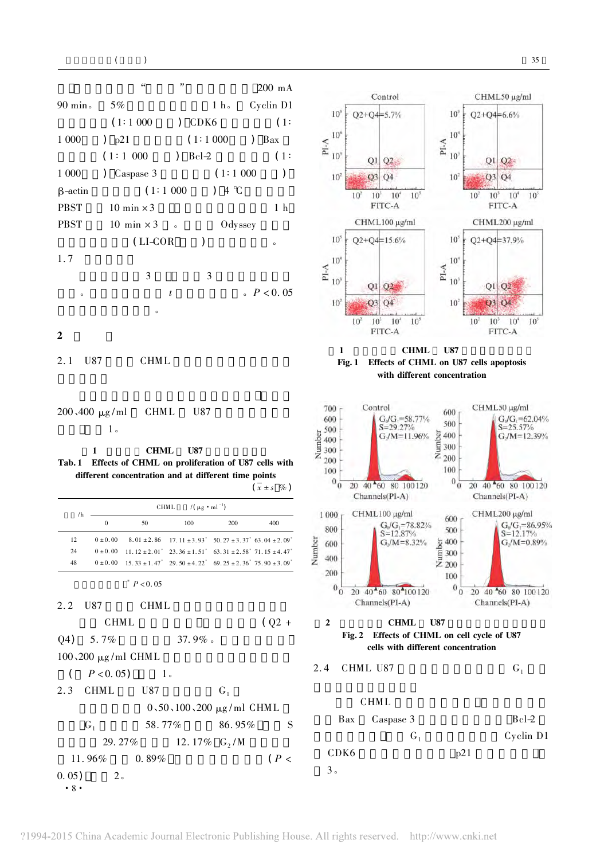



Control

CHML50 µg/ml

3。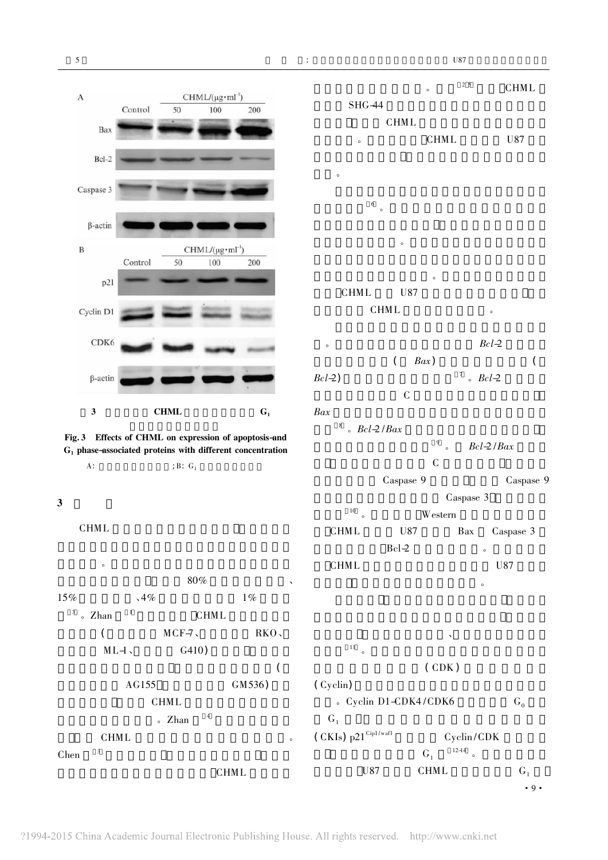



A:  $\qquad \qquad ;B: \ G_1$ 

CHML

 $\overline{\mathbf{3}}$ 

 $\ddot{\theta}$  $80\%$  $15\%$   $\sqrt{4\%}$   $1\%$  $3 \text{ A}$  2 han  $1 \text{ CHML}$  $MCF-7$ , RKO.  $ML-1$ ,  $G410$  $\overline{a}$ AG155 GM536) 性实验对比 显示出 CHML 对正常细胞的低毒性和  $\sqrt{2}$  Zhan  $\sqrt{4}$ **CHML** 

 $Chen$   $\frac{3}{\pi}$ 

 $2^5$  CHML  $SHG-44$ CHML CHML U87 效应。  $\frac{6}{\circ}$  $\bullet$  $\overline{\phantom{a}}$ CHML U87 CHML  $\ddot{B}$ cl $\rightarrow$  $(Bax)$  (  $Bcl-2$   $Rcl-2$  $C$ 

 $Bax$  $Bcl-2/Bax$  $Bcl-2$  /  $Bax$  $C$ Caspase 9 Caspase 9 Caspase 3 胞凋亡 <sup>10</sup> 。本研 Western 印迹法检测结果显 CHML U87 Bax Caspase 3  $Bcl-2$ 

CHML U87  $\epsilon$  $\mathcal{R}$  $\frac{11}{\circ}$  $(CDK)$ (Cyclin)  $C<sub>g</sub>$  Cyclin D1-CDK4/CDK6  $G<sub>0</sub>$  $G_1$ (CKIs)  $p21^{Cip1/waff}$  Cyclin/CDK  $12-14$ 

 $G_1$ 

U87 CHML  $G_1$ 

 $\alpha$ 

**CHML**